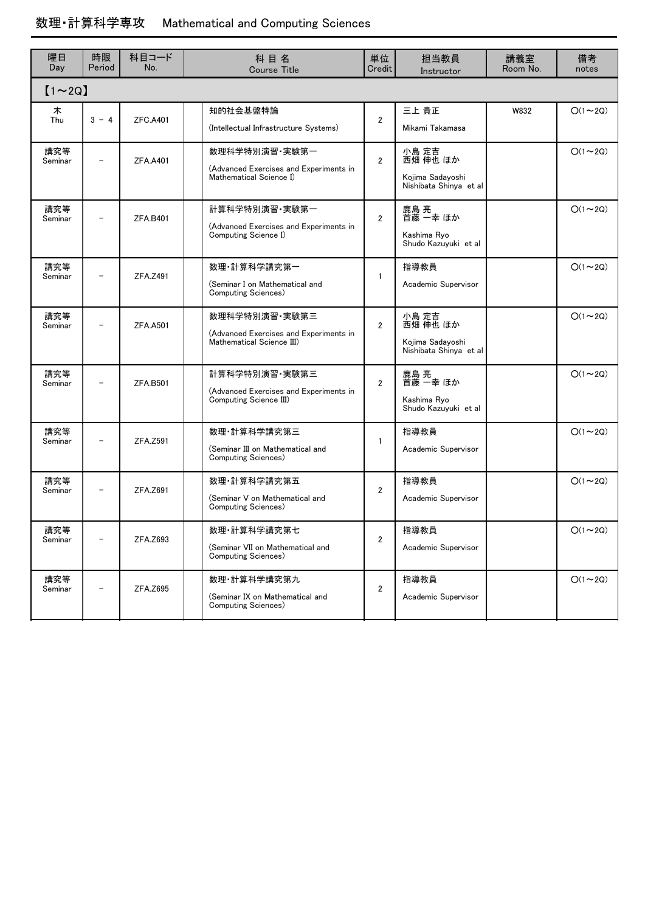## 数理・計算科学専攻 Mathematical and Computing Sciences

| 曜日<br>Day      | 時限<br>Period             | 科目コード<br>No.    | 科目名<br><b>Course Title</b>                                                           | 単位<br>Credit            | 担当教員<br>Instructor                                              | 講義室<br>Room No. | 備考<br>notes    |  |
|----------------|--------------------------|-----------------|--------------------------------------------------------------------------------------|-------------------------|-----------------------------------------------------------------|-----------------|----------------|--|
| $[1 \sim 2Q]$  |                          |                 |                                                                                      |                         |                                                                 |                 |                |  |
| 木<br>Thu       | $3 - 4$                  | <b>ZFC.A401</b> | 知的社会基盤特論<br>(Intellectual Infrastructure Systems)                                    | $\overline{2}$          | 三上 貴正<br>Mikami Takamasa                                        | W832            | $O(1\sim 2Q)$  |  |
| 講究等<br>Seminar |                          | <b>ZFA.A401</b> | 数理科学特別演習·実験第一<br>(Advanced Exercises and Experiments in<br>Mathematical Science I)   | $\overline{2}$          | 小島 定吉<br>西畑 伸也 ほか<br>Kojima Sadayoshi<br>Nishibata Shinya et al |                 | $O(1\sim 2Q)$  |  |
| 講究等<br>Seminar |                          | ZFA.B401        | 計算科学特別演習·実験第一<br>(Advanced Exercises and Experiments in<br>Computing Science I)      | $\overline{2}$          | 鹿島 亮<br>首藤 一幸 ほか<br>Kashima Ryo<br>Shudo Kazuyuki et al         |                 | $O(1\sim 2Q)$  |  |
| 講究等<br>Seminar |                          | ZFA.Z491        | 数理 計算科学講究第一<br>(Seminar I on Mathematical and<br>Computing Sciences)                 | $\mathbf{1}$            | 指導教員<br>Academic Supervisor                                     |                 | $O(1\sim 2Q)$  |  |
| 講究等<br>Seminar | $\overline{\phantom{0}}$ | <b>ZFA.A501</b> | 数理科学特別演習·実験第三<br>(Advanced Exercises and Experiments in<br>Mathematical Science III) | $\overline{2}$          | 小島 定吉<br>西畑 伸也 ほか<br>Kojima Sadayoshi<br>Nishibata Shinya et al |                 | $O(1\sim 2Q)$  |  |
| 講究等<br>Seminar | $\qquad \qquad -$        | ZFA.B501        | 計算科学特別演習・実験第三<br>(Advanced Exercises and Experiments in<br>Computing Science III)    | $\overline{2}$          | 鹿島 亮<br>首藤 一幸 ほか<br>Kashima Ryo<br>Shudo Kazuyuki et al         |                 | $O(1\sim 2Q)$  |  |
| 講究等<br>Seminar | $\qquad \qquad -$        | ZFA.Z591        | 数理·計算科学講究第三<br>(Seminar III on Mathematical and<br>Computing Sciences)               | $\mathbf{1}$            | 指導教員<br>Academic Supervisor                                     |                 | $O(1\sim 2Q)$  |  |
| 講究等<br>Seminar |                          | ZFA.Z691        | 数理·計算科学講究第五<br>(Seminar V on Mathematical and<br>Computing Sciences)                 | $\overline{2}$          | 指導教員<br>Academic Supervisor                                     |                 | $O(1\sim 2Q)$  |  |
| 講究等<br>Seminar | $\qquad \qquad -$        | ZFA.Z693        | 数理·計算科学講究第七<br>(Seminar VII on Mathematical and<br>Computing Sciences)               | $\overline{\mathbf{c}}$ | 指導教員<br>Academic Supervisor                                     |                 | $O(1 \sim 2Q)$ |  |
| 講究等<br>Seminar |                          | ZFA.Z695        | 数理·計算科学講究第九<br>(Seminar IX on Mathematical and<br>Computing Sciences)                | $\overline{2}$          | 指導教員<br>Academic Supervisor                                     |                 | $O(1 \sim 2Q)$ |  |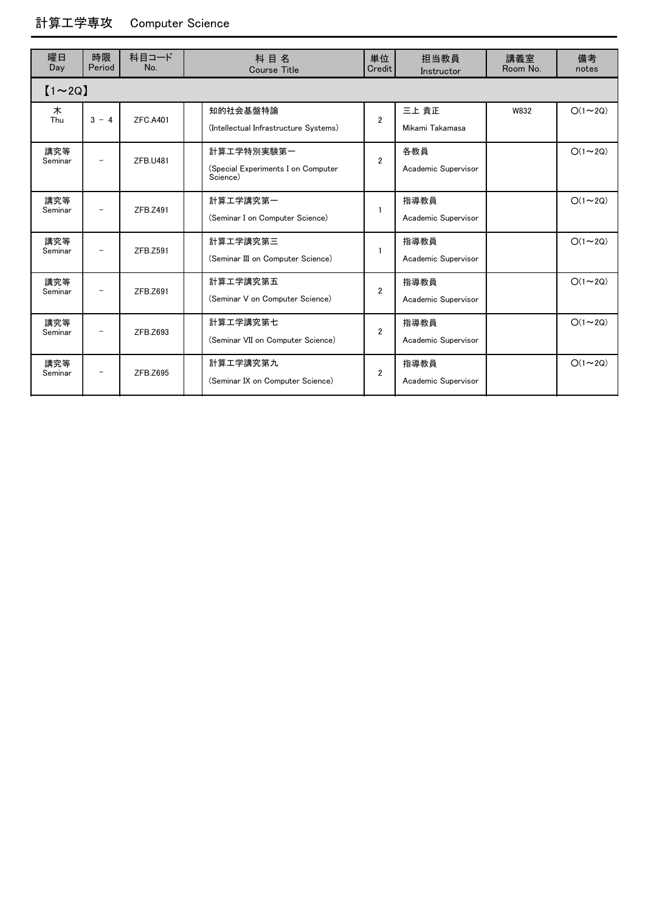## 計算工学専攻 Computer Science

| 曜日<br>Day      | 時限<br>Period             | 科目コード<br>No.    | 科目名<br><b>Course Title</b>                                   | 単位<br>Credit   | 担当教員<br>Instructor          | 講義室<br>Room No. | 備考<br>notes   |  |
|----------------|--------------------------|-----------------|--------------------------------------------------------------|----------------|-----------------------------|-----------------|---------------|--|
| $[1 \sim 2Q]$  |                          |                 |                                                              |                |                             |                 |               |  |
| 木<br>Thu       | $3 - 4$                  | <b>ZFC.A401</b> | 知的社会基盤特論<br>(Intellectual Infrastructure Systems)            | $\overline{2}$ | 三上 貴正<br>Mikami Takamasa    | W832            | $O(1\sim 2Q)$ |  |
| 講究等<br>Seminar | $\overline{\phantom{m}}$ | ZFB.U481        | 計算工学特別実験第一<br>(Special Experiments I on Computer<br>Science) | $\mathfrak{p}$ | 各教員<br>Academic Supervisor  |                 | $O(1\sim 2Q)$ |  |
| 講究等<br>Seminar | $\overline{\phantom{m}}$ | ZFB.Z491        | 計算工学講究第一<br>(Seminar I on Computer Science)                  | $\mathbf{1}$   | 指導教員<br>Academic Supervisor |                 | $O(1\sim 2Q)$ |  |
| 講究等<br>Seminar | $\overline{\phantom{m}}$ | ZFB.Z591        | 計算工学講究第三<br>(Seminar III on Computer Science)                | $\mathbf{1}$   | 指導教員<br>Academic Supervisor |                 | $O(1\sim 2Q)$ |  |
| 講究等<br>Seminar | $\overline{\phantom{m}}$ | ZFB.Z691        | 計算工学講究第五<br>(Seminar V on Computer Science)                  | $\mathfrak{p}$ | 指導教員<br>Academic Supervisor |                 | $O(1\sim 2Q)$ |  |
| 講究等<br>Seminar | $\overline{\phantom{m}}$ | ZFB.Z693        | 計算工学講究第七<br>(Seminar VII on Computer Science)                | $\overline{2}$ | 指導教員<br>Academic Supervisor |                 | $O(1\sim 2Q)$ |  |
| 講究等<br>Seminar | $\overline{\phantom{m}}$ | ZFB.Z695        | 計算工学講究第九<br>(Seminar IX on Computer Science)                 | $\overline{2}$ | 指導教員<br>Academic Supervisor |                 | $O(1\sim 2Q)$ |  |